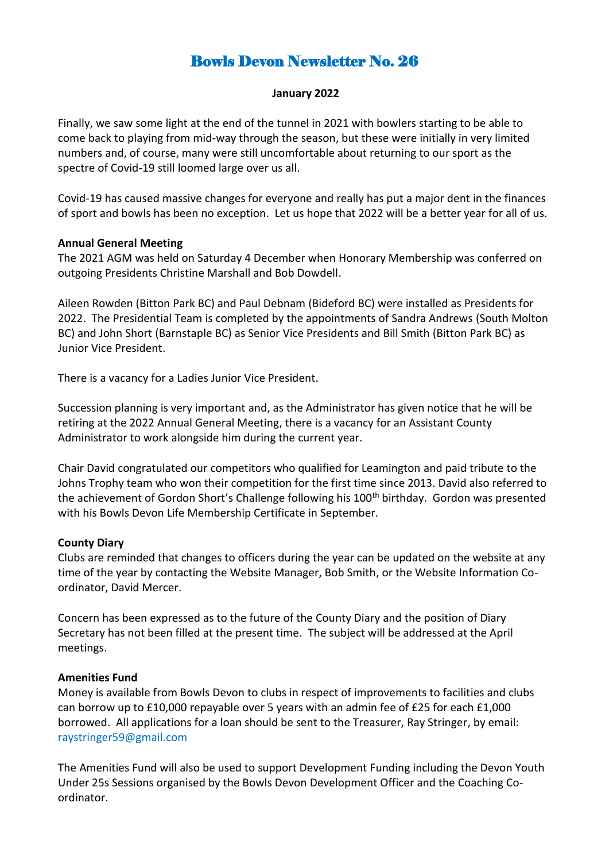# Bowls Devon Newsletter No. 26

## **January 2022**

Finally, we saw some light at the end of the tunnel in 2021 with bowlers starting to be able to come back to playing from mid-way through the season, but these were initially in very limited numbers and, of course, many were still uncomfortable about returning to our sport as the spectre of Covid-19 still loomed large over us all.

Covid-19 has caused massive changes for everyone and really has put a major dent in the finances of sport and bowls has been no exception. Let us hope that 2022 will be a better year for all of us.

## **Annual General Meeting**

The 2021 AGM was held on Saturday 4 December when Honorary Membership was conferred on outgoing Presidents Christine Marshall and Bob Dowdell.

Aileen Rowden (Bitton Park BC) and Paul Debnam (Bideford BC) were installed as Presidents for 2022. The Presidential Team is completed by the appointments of Sandra Andrews (South Molton BC) and John Short (Barnstaple BC) as Senior Vice Presidents and Bill Smith (Bitton Park BC) as Junior Vice President.

There is a vacancy for a Ladies Junior Vice President.

Succession planning is very important and, as the Administrator has given notice that he will be retiring at the 2022 Annual General Meeting, there is a vacancy for an Assistant County Administrator to work alongside him during the current year.

Chair David congratulated our competitors who qualified for Leamington and paid tribute to the Johns Trophy team who won their competition for the first time since 2013. David also referred to the achievement of Gordon Short's Challenge following his 100<sup>th</sup> birthday. Gordon was presented with his Bowls Devon Life Membership Certificate in September.

## **County Diary**

Clubs are reminded that changes to officers during the year can be updated on the website at any time of the year by contacting the Website Manager, Bob Smith, or the Website Information Coordinator, David Mercer.

Concern has been expressed as to the future of the County Diary and the position of Diary Secretary has not been filled at the present time. The subject will be addressed at the April meetings.

## **Amenities Fund**

Money is available from Bowls Devon to clubs in respect of improvements to facilities and clubs can borrow up to £10,000 repayable over 5 years with an admin fee of £25 for each £1,000 borrowed. All applications for a loan should be sent to the Treasurer, Ray Stringer, by email: raystringer59@gmail.com

The Amenities Fund will also be used to support Development Funding including the Devon Youth Under 25s Sessions organised by the Bowls Devon Development Officer and the Coaching Coordinator.